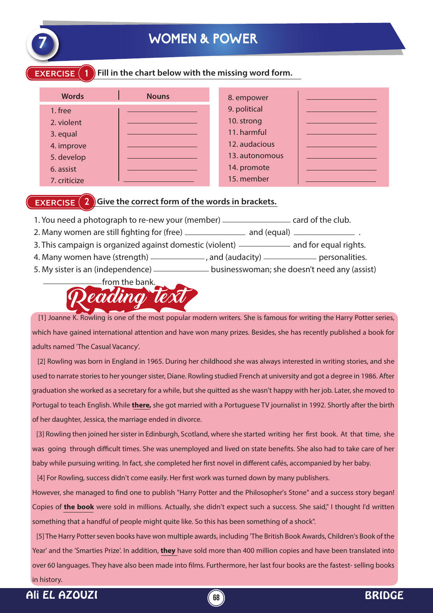

# **7 WOMEN & POWER**

**EXERCISE** (1) Fill in the chart below with the missing word form.

| <b>Words</b> | <b>Nouns</b> | 8. empower     |  |
|--------------|--------------|----------------|--|
| 1. free      |              | 9. political   |  |
| 2. violent   |              | 10. strong     |  |
| 3. equal     |              | 11. harmful    |  |
| 4. improve   |              | 12. audacious  |  |
| 5. develop   |              | 13. autonomous |  |
| 6. assist    |              | 14. promote    |  |
| 7. criticize |              | 15. member     |  |

#### **EXERCISE** (2) Give the correct form of the words in brackets.

- 1. You need a photograph to re-new your (member) \_\_\_\_\_\_\_\_\_\_\_\_\_\_\_\_\_ card of the club.
- 2. Many women are still ghting for (free) and (equal) .
- 3. This campaign is organized against domestic (violent) and for equal rights.
- 4. Many women have (strength)  $\frac{1}{2}$ , and (audacity)  $\frac{1}{2}$  personalities.
- 5. My sister is an (independence) **businesswoman**; she doesn't need any (assist)



 [1] Joanne K. Rowling is one of the most popular modern writers. She is famous for writing the Harry Potter series, which have gained international attention and have won many prizes. Besides, she has recently published a book for adults named 'The Casual Vacancy'.

 [2] Rowling was born in England in 1965. During her childhood she was always interested in writing stories, and she used to narrate stories to her younger sister, Diane. Rowling studied French at university and got a degree in 1986. After graduation she worked as a secretary for a while, but she quitted as she wasn't happy with her job. Later, she moved to Portugal to teach English. While **there,** she got married with a Portuguese TV journalist in 1992. Shortly after the birth of her daughter, Jessica, the marriage ended in divorce.

[3] Rowling then joined her sister in Edinburgh, Scotland, where she started writing her first book. At that time, she was going through difficult times. She was unemployed and lived on state benefits. She also had to take care of her baby while pursuing writing. In fact, she completed her first novel in different cafés, accompanied by her baby.

[4] For Rowling, success didn't come easily. Her first work was turned down by many publishers.

However, she managed to find one to publish "Harry Potter and the Philosopher's Stone" and a success story began! Copies of **the book** were sold in millions. Actually, she didn't expect such a success. She said," I thought I'd written something that a handful of people might quite like. So this has been something of a shock".

 [5] The Harry Potter seven books have won multiple awards, including 'The British Book Awards, Children's Book of the Year' and the 'Smarties Prize'. In addition, **they** have sold more than 400 million copies and have been translated into over 60 languages. They have also been made into films. Furthermore, her last four books are the fastest- selling books in history.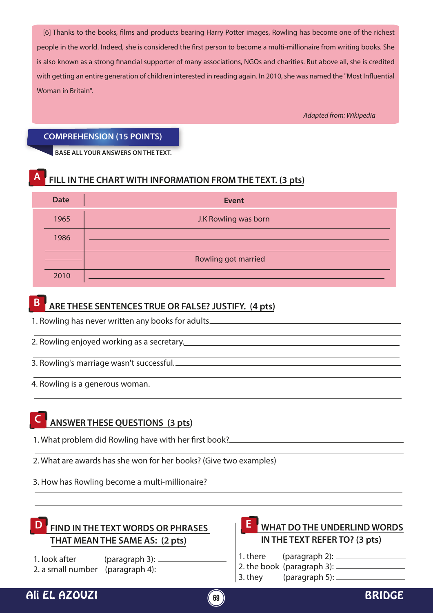[6] Thanks to the books, films and products bearing Harry Potter images, Rowling has become one of the richest people in the world. Indeed, she is considered the first person to become a multi-millionaire from writing books. She is also known as a strong financial supporter of many associations, NGOs and charities. But above all, she is credited with getting an entire generation of children interested in reading again. In 2010, she was named the "Most Influential Woman in Britain".

*Adapted from: Wikipedia*

#### **COMPREHENSION (15 POINTS)**

**BASE ALL YOUR ANSWERS ON THE TEXT.**

### **A FILL IN THE CHART WITH INFORMATION FROM THE TEXT. (3 pts)**

| <b>Date</b> | <b>Event</b>         |
|-------------|----------------------|
| 1965        | J.K Rowling was born |
| 1986        |                      |
|             | Rowling got married  |
| 2010        |                      |

# **B ARE THESE SENTENCES TRUE OR FALSE? JUSTIFY. (4 pts)**

1. Rowling has never written any books for adults.

- 2. Rowling enjoyed working as a secretary.
- 3. Rowling's marriage wasn't successful.
- 4. Rowling is a generous woman.

### **C ANSWER THESE QUESTIONS (3 pts)**

- 1. What problem did Rowling have with her first book?
- 2. What are awards has she won for her books? (Give two examples)
- 3. How has Rowling become a multi-millionaire?

# **THAT MEAN THE SAME AS: (2 pts)**

1. look after (paragraph 3): 2. a small number (paragraph 4):

#### **D** FIND IN THE TEXT WORDS OR PHRASES  $\begin{bmatrix} 1 & 2 \end{bmatrix}$  WHAT DO THE UNDERLIND WORDS **IN THE TEXT REFER TO? (3 pts) E**

- 1. there (paragraph 2):
- 2. the book (paragraph 3):
- 3. they (paragraph 5):

## Ali EL AZOUZI **69** BRIDGE